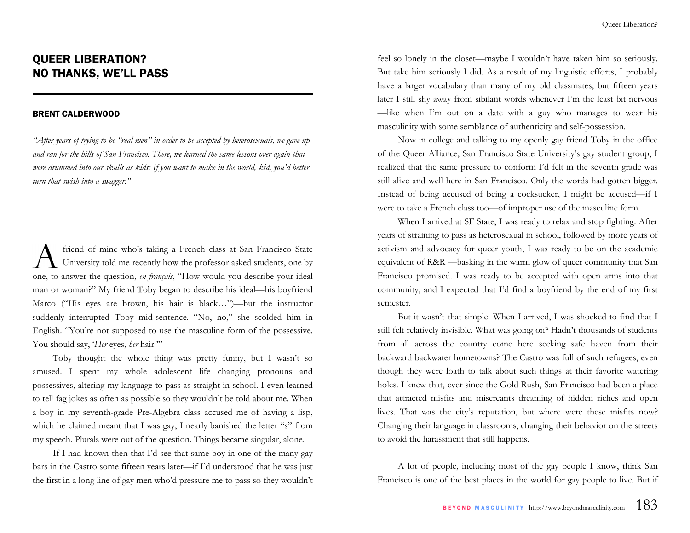## QUEER LIBERATION? NO THANKS, WE'LL PASS

## BRENT CALDERWOOD

*"After years of trying to be "real men" in order to be accepted by heterosexuals, we gave up and ran for the hills of San Francisco. There, we learned the same lessons over again that were drummed into our skulls as kids: If you want to make in the world, kid, you'd better turn that swish into a swagger."* 

friend of mine who's taking a French class at San Francisco State University told me recently how the professor asked students, one by one, to answer the question, *en français*, "How would you describe your ideal man or woman?" My friend Toby began to describe his ideal—his boyfriend Marco ("His eyes are brown, his hair is black…")—but the instructor suddenly interrupted Toby mid-sentence. "No, no," she scolded him in English. "You're not supposed to use the masculine form of the possessive. You should say, '*Her* eyes, her hair.""

Toby thought the whole thing was pretty funny, but I wasn't so amused. I spent my whole adolescent life changing pronouns and possessives, altering my language to pass as straight in school. I even learned to tell fag jokes as often as possible so they wouldn't be told about me. When a boy in my seventh-grade Pre-Algebra class accused me of having a lisp, which he claimed meant that I was gay, I nearly banished the letter "s" from my speech. Plurals were out of the question. Things became singular, alone.

If I had known then that I'd see that same boy in one of the many gay bars in the Castro some fifteen years later—if I'd understood that he was just the first in a long line of gay men who'd pressure me to pass so they wouldn't feel so lonely in the closet—maybe I wouldn't have taken him so seriously. But take him seriously I did. As a result of my linguistic efforts, I probably have a larger vocabulary than many of my old classmates, but fifteen years later I still shy away from sibilant words whenever I'm the least bit nervous —like when I'm out on a date with a guy who manages to wear his masculinity with some semblance of authenticity and self-possession.

Now in college and talking to my openly gay friend Toby in the office of the Queer Alliance, San Francisco State University's gay student group, I realized that the same pressure to conform I'd felt in the seventh grade was still alive and well here in San Francisco. Only the words had gotten bigger. Instead of being accused of being a cocksucker, I might be accused—if I were to take a French class too—of improper use of the masculine form.

When I arrived at SF State, I was ready to relax and stop fighting. After years of straining to pass as heterosexual in school, followed by more years of activism and advocacy for queer youth, I was ready to be on the academic equivalent of R&R —basking in the warm glow of queer community that San Francisco promised. I was ready to be accepted with open arms into that community, and I expected that I'd find a boyfriend by the end of my first semester.

But it wasn't that simple. When I arrived, I was shocked to find that I still felt relatively invisible. What was going on? Hadn't thousands of students from all across the country come here seeking safe haven from their backward backwater hometowns? The Castro was full of such refugees, even though they were loath to talk about such things at their favorite watering holes. I knew that, ever since the Gold Rush, San Francisco had been a place that attracted misfits and miscreants dreaming of hidden riches and open lives. That was the city's reputation, but where were these misfits now? Changing their language in classrooms, changing their behavior on the streets to avoid the harassment that still happens.

A lot of people, including most of the gay people I know, think San Francisco is one of the best places in the world for gay people to live. But if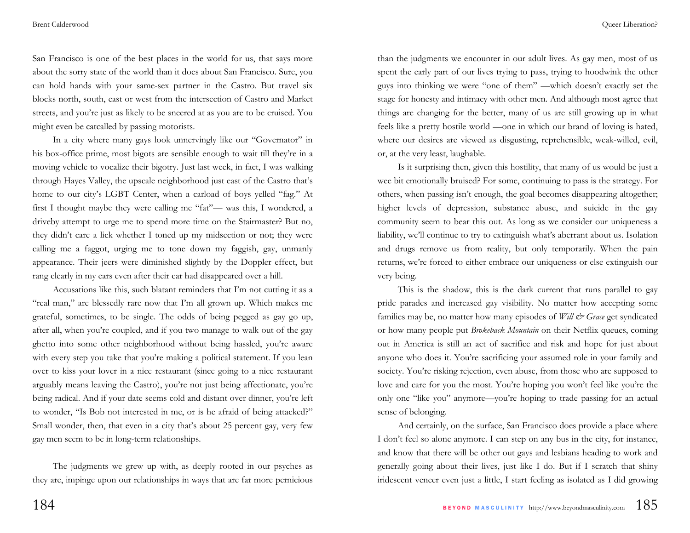San Francisco is one of the best places in the world for us, that says more about the sorry state of the world than it does about San Francisco. Sure, you can hold hands with your same-sex partner in the Castro. But travel six blocks north, south, east or west from the intersection of Castro and Market streets, and you're just as likely to be sneered at as you are to be cruised. You might even be catcalled by passing motorists.

In a city where many gays look unnervingly like our "Governator" in his box-office prime, most bigots are sensible enough to wait till they're in a moving vehicle to vocalize their bigotry. Just last week, in fact, I was walking through Hayes Valley, the upscale neighborhood just east of the Castro that's home to our city's LGBT Center, when a carload of boys yelled "fag." At first I thought maybe they were calling me "fat"— was this, I wondered, a driveby attempt to urge me to spend more time on the Stairmaster? But no, they didn't care a lick whether I toned up my midsection or not; they were calling me a faggot, urging me to tone down my faggish, gay, unmanly appearance. Their jeers were diminished slightly by the Doppler effect, but rang clearly in my ears even after their car had disappeared over a hill.

Accusations like this, such blatant reminders that I'm not cutting it as a "real man," are blessedly rare now that I'm all grown up. Which makes me grateful, sometimes, to be single. The odds of being pegged as gay go up, after all, when you're coupled, and if you two manage to walk out of the gay ghetto into some other neighborhood without being hassled, you're aware with every step you take that you're making a political statement. If you lean over to kiss your lover in a nice restaurant (since going to a nice restaurant arguably means leaving the Castro), you're not just being affectionate, you're being radical. And if your date seems cold and distant over dinner, you're left to wonder, "Is Bob not interested in me, or is he afraid of being attacked?" Small wonder, then, that even in a city that's about 25 percent gay, very few gay men seem to be in long-term relationships.

The judgments we grew up with, as deeply rooted in our psyches as they are, impinge upon our relationships in ways that are far more pernicious

than the judgments we encounter in our adult lives. As gay men, most of us spent the early part of our lives trying to pass, trying to hoodwink the other guys into thinking we were "one of them" —which doesn't exactly set the stage for honesty and intimacy with other men. And although most agree that things are changing for the better, many of us are still growing up in what feels like a pretty hostile world —one in which our brand of loving is hated, where our desires are viewed as disgusting, reprehensible, weak-willed, evil, or, at the very least, laughable.

Is it surprising then, given this hostility, that many of us would be just a wee bit emotionally bruised? For some, continuing to pass is the strategy. For others, when passing isn't enough, the goal becomes disappearing altogether; higher levels of depression, substance abuse, and suicide in the gay community seem to bear this out. As long as we consider our uniqueness a liability, we'll continue to try to extinguish what's aberrant about us. Isolation and drugs remove us from reality, but only temporarily. When the pain returns, we're forced to either embrace our uniqueness or else extinguish our very being.

This is the shadow, this is the dark current that runs parallel to gay pride parades and increased gay visibility. No matter how accepting some families may be, no matter how many episodes of *Will & Grace* get syndicated or how many people put *Brokeback Mountain* on their Netflix queues, coming out in America is still an act of sacrifice and risk and hope for just about anyone who does it. You're sacrificing your assumed role in your family and society. You're risking rejection, even abuse, from those who are supposed to love and care for you the most. You're hoping you won't feel like you're the only one "like you" anymore—you're hoping to trade passing for an actual sense of belonging.

And certainly, on the surface, San Francisco does provide a place where I don't feel so alone anymore. I can step on any bus in the city, for instance, and know that there will be other out gays and lesbians heading to work and generally going about their lives, just like I do. But if I scratch that shiny iridescent veneer even just a little, I start feeling as isolated as I did growing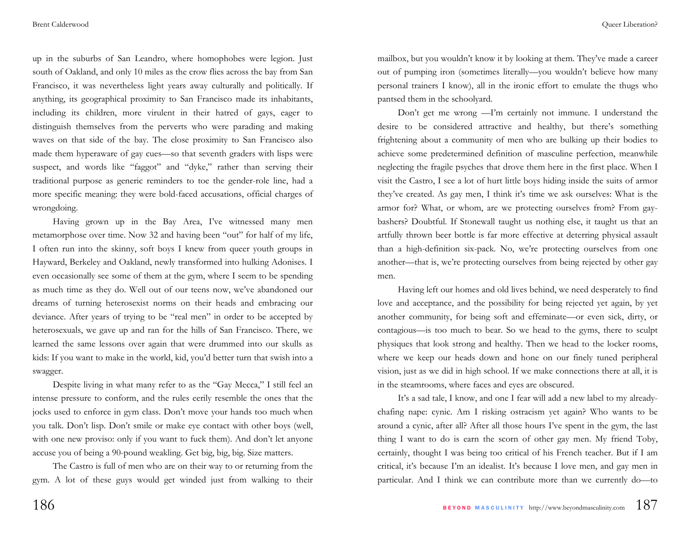up in the suburbs of San Leandro, where homophobes were legion. Just south of Oakland, and only 10 miles as the crow flies across the bay from San Francisco, it was nevertheless light years away culturally and politically. If anything, its geographical proximity to San Francisco made its inhabitants, including its children, more virulent in their hatred of gays, eager to distinguish themselves from the perverts who were parading and making waves on that side of the bay. The close proximity to San Francisco also made them hyperaware of gay cues—so that seventh graders with lisps were suspect, and words like "faggot" and "dyke," rather than serving their traditional purpose as generic reminders to toe the gender-role line, had a more specific meaning: they were bold-faced accusations, official charges of wrongdoing.

Having grown up in the Bay Area, I've witnessed many men metamorphose over time. Now 32 and having been "out" for half of my life, I often run into the skinny, soft boys I knew from queer youth groups in Hayward, Berkeley and Oakland, newly transformed into hulking Adonises. I even occasionally see some of them at the gym, where I seem to be spending as much time as they do. Well out of our teens now, we've abandoned our dreams of turning heterosexist norms on their heads and embracing our deviance. After years of trying to be "real men" in order to be accepted by heterosexuals, we gave up and ran for the hills of San Francisco. There, we learned the same lessons over again that were drummed into our skulls as kids: If you want to make in the world, kid, you'd better turn that swish into a swagger.

Despite living in what many refer to as the "Gay Mecca," I still feel an intense pressure to conform, and the rules eerily resemble the ones that the jocks used to enforce in gym class. Don't move your hands too much when you talk. Don't lisp. Don't smile or make eye contact with other boys (well, with one new proviso: only if you want to fuck them). And don't let anyone accuse you of being a 90-pound weakling. Get big, big, big. Size matters.

The Castro is full of men who are on their way to or returning from the gym. A lot of these guys would get winded just from walking to their mailbox, but you wouldn't know it by looking at them. They've made a career out of pumping iron (sometimes literally—you wouldn't believe how many personal trainers I know), all in the ironic effort to emulate the thugs who pantsed them in the schoolyard.

Don't get me wrong —I'm certainly not immune. I understand the desire to be considered attractive and healthy, but there's something frightening about a community of men who are bulking up their bodies to achieve some predetermined definition of masculine perfection, meanwhile neglecting the fragile psyches that drove them here in the first place. When I visit the Castro, I see a lot of hurt little boys hiding inside the suits of armor they've created. As gay men, I think it's time we ask ourselves: What is the armor for? What, or whom, are we protecting ourselves from? From gaybashers? Doubtful. If Stonewall taught us nothing else, it taught us that an artfully thrown beer bottle is far more effective at deterring physical assault than a high-definition six-pack. No, we're protecting ourselves from one another—that is, we're protecting ourselves from being rejected by other gay men.

Having left our homes and old lives behind, we need desperately to find love and acceptance, and the possibility for being rejected yet again, by yet another community, for being soft and effeminate—or even sick, dirty, or contagious—is too much to bear. So we head to the gyms, there to sculpt physiques that look strong and healthy. Then we head to the locker rooms, where we keep our heads down and hone on our finely tuned peripheral vision, just as we did in high school. If we make connections there at all, it is in the steamrooms, where faces and eyes are obscured.

It's a sad tale, I know, and one I fear will add a new label to my alreadychafing nape: cynic. Am I risking ostracism yet again? Who wants to be around a cynic, after all? After all those hours I've spent in the gym, the last thing I want to do is earn the scorn of other gay men. My friend Toby, certainly, thought I was being too critical of his French teacher. But if I am critical, it's because I'm an idealist. It's because I love men, and gay men in particular. And I think we can contribute more than we currently do—to